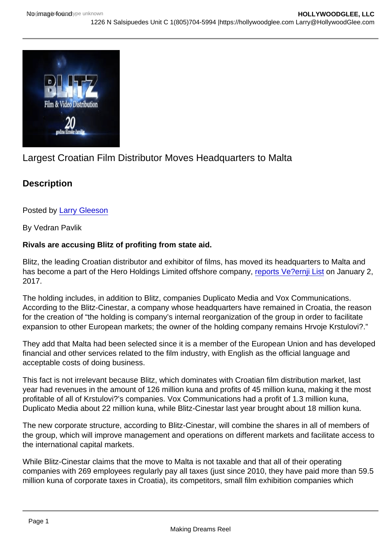## Largest Croatian Film Distributor Moves Headquarters to Malta

**Description** 

Posted by [Larry Gleeson](http://sbccfilmreviews.org/?s=Larry+Gleeson)

By Vedran Pavlik

Rivals are accusing Blitz of profiting from state aid.

Blitz, the leading Croatian distributor and exhibitor of films, has moved its headquarters to Malta and has become a part of the Hero Holdings Limited offshore company, [reports Ve?ernji List](http://www.vecernji.hr/kompanije-i-trzista/najveci-hrvatski-distributer-filmova-blitz-odsad-posao-vodi-s-malte-1138410) on January 2, 2017.

The holding includes, in addition to Blitz, companies Duplicato Media and Vox Communications. According to the Blitz-Cinestar, a company whose headquarters have remained in Croatia, the reason for the creation of "the holding is company's internal reorganization of the group in order to facilitate expansion to other European markets; the owner of the holding company remains Hrvoje Krstulovi?."

They add that Malta had been selected since it is a member of the European Union and has developed financial and other services related to the film industry, with English as the official language and acceptable costs of doing business.

This fact is not irrelevant because Blitz, which dominates with Croatian film distribution market, last year had revenues in the amount of 126 million kuna and profits of 45 million kuna, making it the most profitable of all of Krstulovi?'s companies. Vox Communications had a profit of 1.3 million kuna, Duplicato Media about 22 million kuna, while Blitz-Cinestar last year brought about 18 million kuna.

The new corporate structure, according to Blitz-Cinestar, will combine the shares in all of members of the group, which will improve management and operations on different markets and facilitate access to the international capital markets.

While Blitz-Cinestar claims that the move to Malta is not taxable and that all of their operating companies with 269 employees regularly pay all taxes (just since 2010, they have paid more than 59.5 million kuna of corporate taxes in Croatia), its competitors, small film exhibition companies which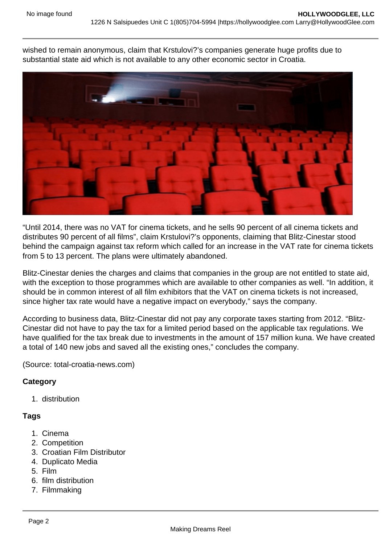wished to remain anonymous, claim that Krstulovi?'s companies generate huge profits due to substantial state aid which is not available to any other economic sector in Croatia.



"Until 2014, there was no VAT for cinema tickets, and he sells 90 percent of all cinema tickets and distributes 90 percent of all films", claim Krstulovi?'s opponents, claiming that Blitz-Cinestar stood behind the campaign against tax reform which called for an increase in the VAT rate for cinema tickets from 5 to 13 percent. The plans were ultimately abandoned.

Blitz-Cinestar denies the charges and claims that companies in the group are not entitled to state aid, with the exception to those programmes which are available to other companies as well. "In addition, it should be in common interest of all film exhibitors that the VAT on cinema tickets is not increased, since higher tax rate would have a negative impact on everybody," says the company.

According to business data, Blitz-Cinestar did not pay any corporate taxes starting from 2012. "Blitz-Cinestar did not have to pay the tax for a limited period based on the applicable tax regulations. We have qualified for the tax break due to investments in the amount of 157 million kuna. We have created a total of 140 new jobs and saved all the existing ones," concludes the company.

(Source: total-croatia-news.com)

## **Category**

1. distribution

## **Tags**

- 1. Cinema
- 2. Competition
- 3. Croatian Film Distributor
- 4. Duplicato Media
- 5. Film
- 6. film distribution
- 7. Filmmaking